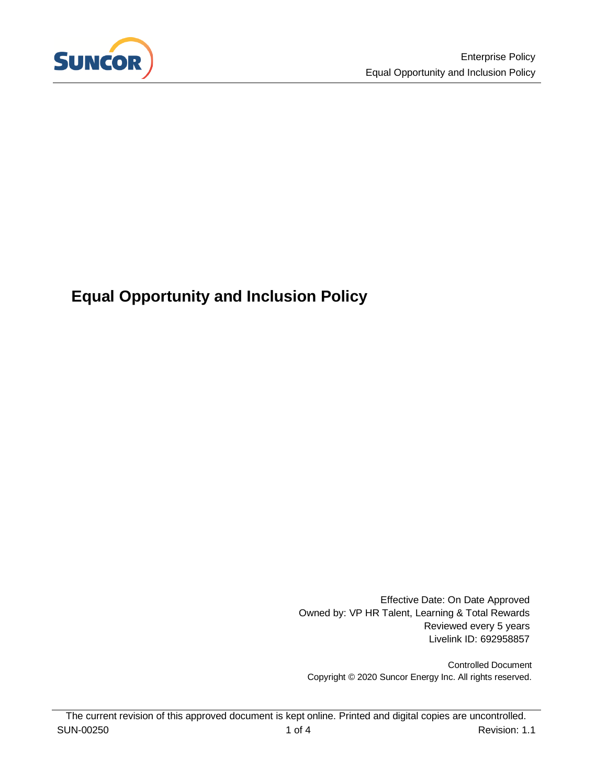

# <span id="page-0-0"></span>**Equal Opportunity and Inclusion Policy**

Effective Date: On Date Approved Owned by: VP HR Talent, Learning & Total Rewards Reviewed every 5 years Livelink ID: 692958857

Controlled Document Copyright © 2020 Suncor Energy Inc. All rights reserved.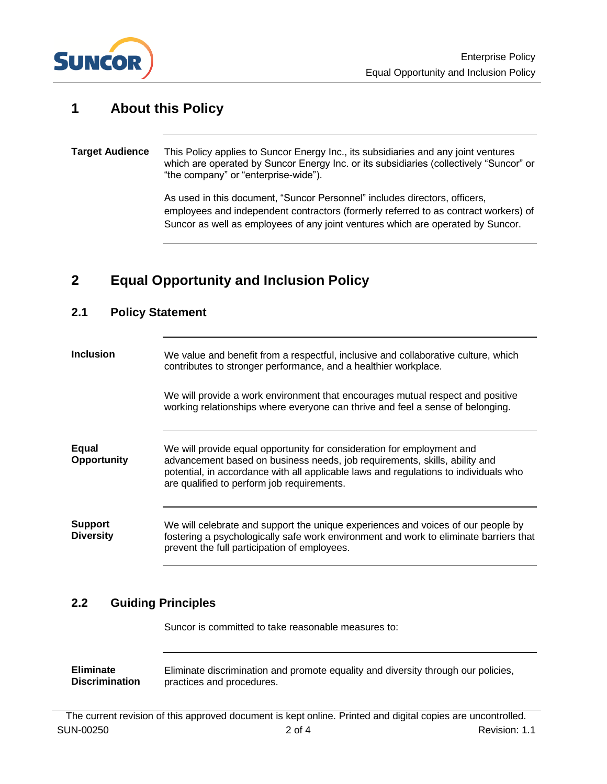

#### **1 About this Policy**

#### This Policy applies to Suncor Energy Inc., its subsidiaries and any joint ventures which are operated by Suncor Energy Inc. or its subsidiaries (collectively "Suncor" or "the company" or "enterprise-wide"). **Target Audience**

As used in this document, "Suncor Personnel" includes directors, officers, employees and independent contractors (formerly referred to as contract workers) of Suncor as well as employees of any joint ventures which are operated by Suncor.

#### **2 Equal Opportunity and Inclusion Policy**

### **2.1 Policy Statement** We value and benefit from a respectful, inclusive and collaborative culture, which contributes to stronger performance, and a healthier workplace. We will provide a work environment that encourages mutual respect and positive working relationships where everyone can thrive and feel a sense of belonging. We will provide equal opportunity for consideration for employment and advancement based on business needs, job requirements, skills, ability and potential, in accordance with all applicable laws and regulations to individuals who are qualified to perform job requirements. We will celebrate and support the unique experiences and voices of our people by fostering a psychologically safe work environment and work to eliminate barriers that prevent the full participation of employees. **Inclusion Equal Opportunity Support Diversity**

#### **2.2 Guiding Principles**

Suncor is committed to take reasonable measures to:

Eliminate discrimination and promote equality and diversity through our policies, practices and procedures. **Eliminate Discrimination**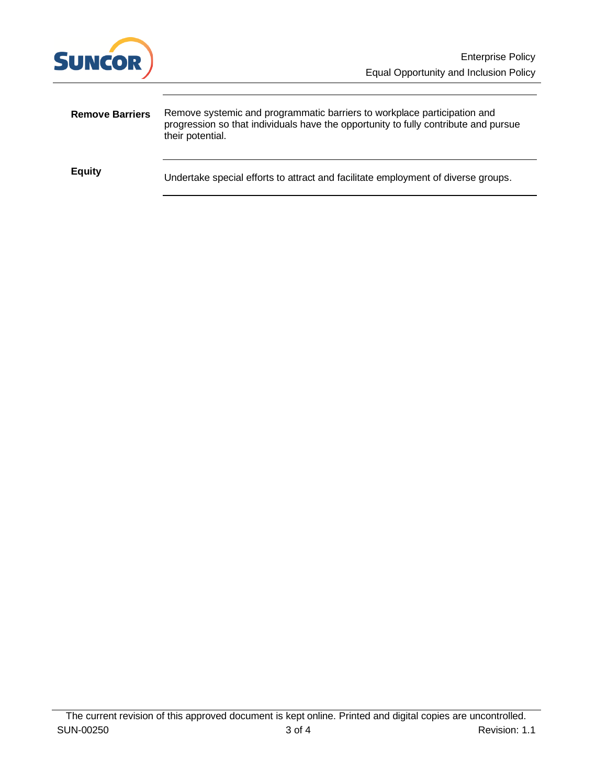

| <b>Remove Barriers</b> | Remove systemic and programmatic barriers to workplace participation and<br>progression so that individuals have the opportunity to fully contribute and pursue<br>their potential. |
|------------------------|-------------------------------------------------------------------------------------------------------------------------------------------------------------------------------------|
| <b>Equity</b>          | Undertake special efforts to attract and facilitate employment of diverse groups.                                                                                                   |